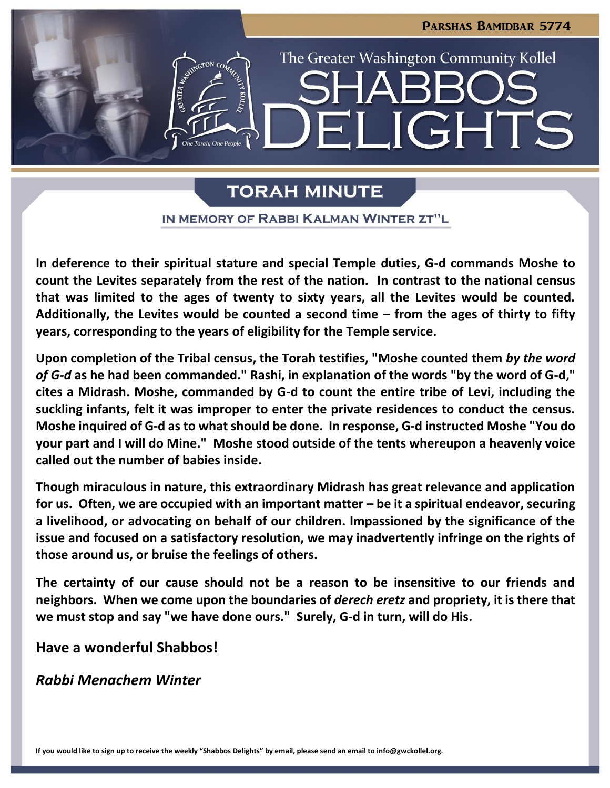

# **TORAH MINUTE**

IN MEMORY OF RABBI KALMAN WINTER ZT"L

**In deference to their spiritual stature and special Temple duties, G-d commands Moshe to count the Levites separately from the rest of the nation. In contrast to the national census that was limited to the ages of twenty to sixty years, all the Levites would be counted. Additionally, the Levites would be counted a second time – from the ages of thirty to fifty years, corresponding to the years of eligibility for the Temple service.**

**Upon completion of the Tribal census, the Torah testifies, "Moshe counted them** *by the word of G-d* **as he had been commanded." Rashi, in explanation of the words "by the word of G-d," cites a Midrash. Moshe, commanded by G-d to count the entire tribe of Levi, including the suckling infants, felt it was improper to enter the private residences to conduct the census. Moshe inquired of G-d as to what should be done. In response, G-d instructed Moshe "You do your part and I will do Mine." Moshe stood outside of the tents whereupon a heavenly voice called out the number of babies inside.**

**Though miraculous in nature, this extraordinary Midrash has great relevance and application for us. Often, we are occupied with an important matter – be it a spiritual endeavor, securing a livelihood, or advocating on behalf of our children. Impassioned by the significance of the issue and focused on a satisfactory resolution, we may inadvertently infringe on the rights of those around us, or bruise the feelings of others.**

**The certainty of our cause should not be a reason to be insensitive to our friends and neighbors. When we come upon the boundaries of** *derech eretz* **and propriety, it is there that we must stop and say "we have done ours." Surely, G-d in turn, will do His.**

**Have a wonderful Shabbos!**

*Rabbi Menachem Winter*